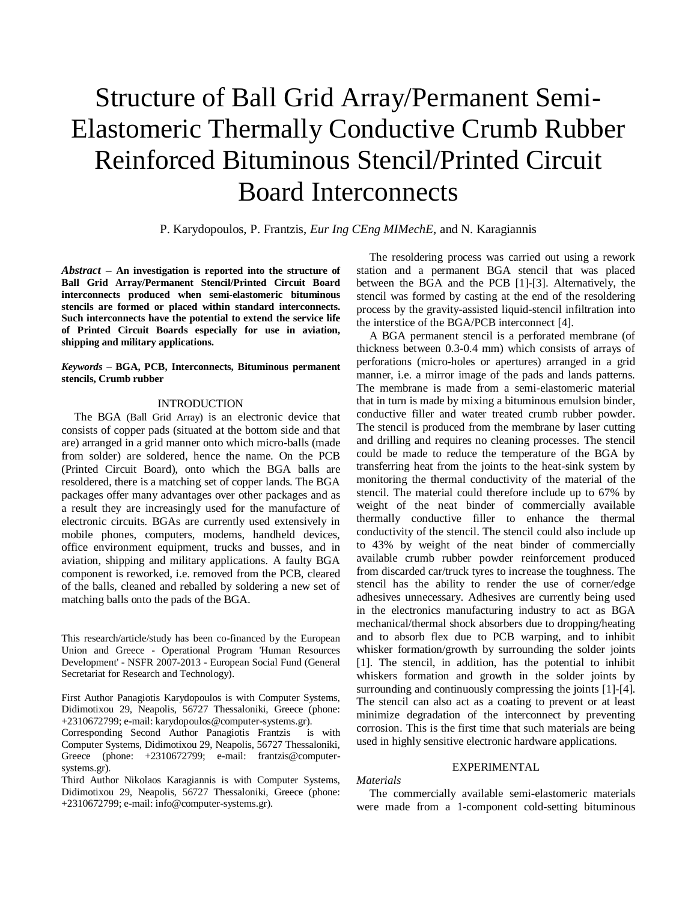# Structure of Ball Grid Array/Permanent Semi-Elastomeric Thermally Conductive Crumb Rubber Reinforced Bituminous Stencil/Printed Circuit Board Interconnects

P. Karydopoulos, P. Frantzis, *Eur Ing CEng MIMechE*, and N. Karagiannis

*Abstract –* **An investigation is reported into the structure of Ball Grid Array/Permanent Stencil/Printed Circuit Board interconnects produced when semi-elastomeric bituminous stencils are formed or placed within standard interconnects. Such interconnects have the potential to extend the service life of Printed Circuit Boards especially for use in aviation, shipping and military applications.**

*Keywords –* **BGA, PCB, Interconnects, Bituminous permanent stencils, Crumb rubber**

# INTRODUCTION

The BGA (Ball Grid Array) is an electronic device that consists of copper pads (situated at the bottom side and that are) arranged in a grid manner onto which micro-balls (made from solder) are soldered, hence the name. On the PCB (Printed Circuit Board), onto which the BGA balls are resoldered, there is a matching set of copper lands. The BGA packages offer many advantages over other packages and as a result they are increasingly used for the manufacture of electronic circuits. BGAs are currently used extensively in mobile phones, computers, modems, handheld devices, office environment equipment, trucks and busses, and in aviation, shipping and military applications. A faulty BGA component is reworked, i.e. removed from the PCB, cleared of the balls, cleaned and reballed by soldering a new set of matching balls onto the pads of the BGA.

This research/article/study has been co-financed by the European Union and Greece - Operational Program 'Human Resources Development' - NSFR 2007-2013 - European Social Fund (General Secretariat for Research and Technology).

First Author Panagiotis Karydopoulos is with Computer Systems, Didimotixou 29, Neapolis, 56727 Thessaloniki, Greece (phone: +2310672799; e-mail: karydopoulos@computer-systems.gr).

Corresponding Second Author Panagiotis Frantzis is with Computer Systems, Didimotixou 29, Neapolis, 56727 Thessaloniki, Greece (phone: +2310672799; e-mail: frantzis@computersystems.gr).

Third Author Nikolaos Karagiannis is with Computer Systems, Didimotixou 29, Neapolis, 56727 Thessaloniki, Greece (phone: +2310672799; e-mail: info@computer-systems.gr).

The resoldering process was carried out using a rework station and a permanent BGA stencil that was placed between the BGA and the PCB [1]-[3]. Alternatively, the stencil was formed by casting at the end of the resoldering process by the gravity-assisted liquid-stencil infiltration into the interstice of the BGA/PCB interconnect [4].

A BGA permanent stencil is a perforated membrane (of thickness between 0.3-0.4 mm) which consists of arrays of perforations (micro-holes or apertures) arranged in a grid manner, i.e. a mirror image of the pads and lands patterns. The membrane is made from a semi-elastomeric material that in turn is made by mixing a bituminous emulsion binder, conductive filler and water treated crumb rubber powder. The stencil is produced from the membrane by laser cutting and drilling and requires no cleaning processes. The stencil could be made to reduce the temperature of the BGA by transferring heat from the joints to the heat-sink system by monitoring the thermal conductivity of the material of the stencil. The material could therefore include up to 67% by weight of the neat binder of commercially available thermally conductive filler to enhance the thermal conductivity of the stencil. The stencil could also include up to 43% by weight of the neat binder of commercially available crumb rubber powder reinforcement produced from discarded car/truck tyres to increase the toughness. The stencil has the ability to render the use of corner/edge adhesives unnecessary. Adhesives are currently being used in the electronics manufacturing industry to act as BGA mechanical/thermal shock absorbers due to dropping/heating and to absorb flex due to PCB warping, and to inhibit whisker formation/growth by surrounding the solder joints [1]. The stencil, in addition, has the potential to inhibit whiskers formation and growth in the solder joints by surrounding and continuously compressing the joints [1]-[4]. The stencil can also act as a coating to prevent or at least minimize degradation of the interconnect by preventing corrosion. This is the first time that such materials are being used in highly sensitive electronic hardware applications.

#### EXPERIMENTAL

*Materials*

The commercially available semi-elastomeric materials were made from a 1-component cold-setting bituminous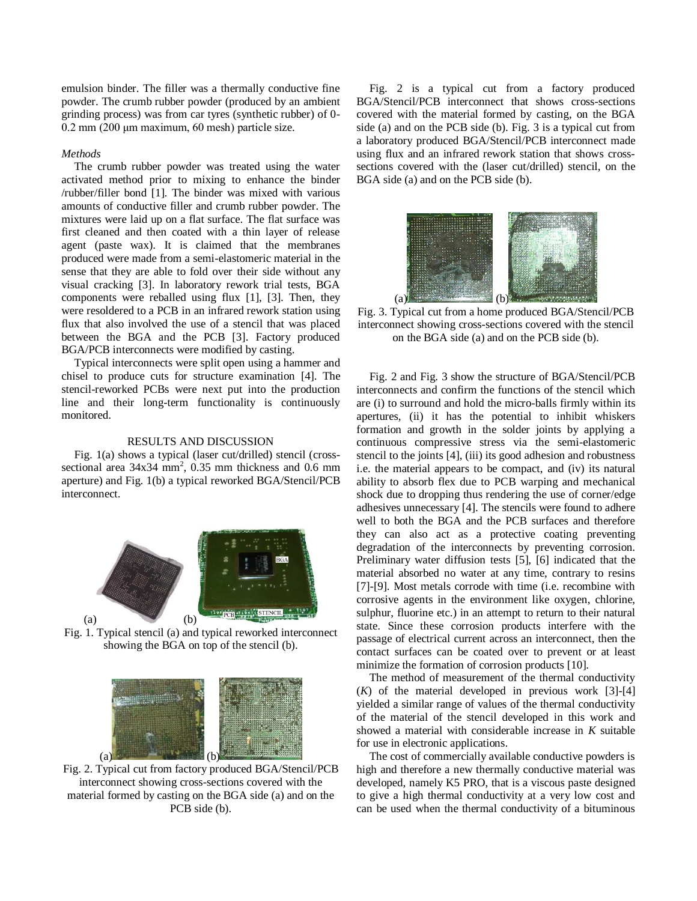emulsion binder. The filler was a thermally conductive fine powder. The crumb rubber powder (produced by an ambient grinding process) was from car tyres (synthetic rubber) of 0- 0.2 mm (200 μm maximum, 60 mesh) particle size.

# *Methods*

The crumb rubber powder was treated using the water activated method prior to mixing to enhance the binder /rubber/filler bond [1]. The binder was mixed with various amounts of conductive filler and crumb rubber powder. The mixtures were laid up on a flat surface. The flat surface was first cleaned and then coated with a thin layer of release agent (paste wax). It is claimed that the membranes produced were made from a semi-elastomeric material in the sense that they are able to fold over their side without any visual cracking [3]. In laboratory rework trial tests, BGA components were reballed using flux [1], [3]. Then, they were resoldered to a PCB in an infrared rework station using flux that also involved the use of a stencil that was placed between the BGA and the PCB [3]. Factory produced BGA/PCB interconnects were modified by casting.

Typical interconnects were split open using a hammer and chisel to produce cuts for structure examination [4]. The stencil-reworked PCBs were next put into the production line and their long-term functionality is continuously monitored.

### RESULTS AND DISCUSSION

Fig. 1(a) shows a typical (laser cut/drilled) stencil (crosssectional area  $34x34$  mm<sup>2</sup>, 0.35 mm thickness and 0.6 mm aperture) and Fig. 1(b) a typical reworked BGA/Stencil/PCB interconnect.



Fig. 1. Typical stencil (a) and typical reworked interconnect showing the BGA on top of the stencil (b).



Fig. 2. Typical cut from factory produced BGA/Stencil/PCB interconnect showing cross-sections covered with the material formed by casting on the BGA side (a) and on the PCB side (b).

Fig. 2 is a typical cut from a factory produced BGA/Stencil/PCB interconnect that shows cross-sections covered with the material formed by casting, on the BGA side (a) and on the PCB side (b). Fig. 3 is a typical cut from a laboratory produced BGA/Stencil/PCB interconnect made using flux and an infrared rework station that shows crosssections covered with the (laser cut/drilled) stencil, on the BGA side (a) and on the PCB side (b).



Fig. 3. Typical cut from a home produced BGA/Stencil/PCB interconnect showing cross-sections covered with the stencil on the BGA side (a) and on the PCB side (b).

Fig. 2 and Fig. 3 show the structure of BGA/Stencil/PCB interconnects and confirm the functions of the stencil which are (i) to surround and hold the micro-balls firmly within its apertures, (ii) it has the potential to inhibit whiskers formation and growth in the solder joints by applying a continuous compressive stress via the semi-elastomeric stencil to the joints [4], (iii) its good adhesion and robustness i.e. the material appears to be compact, and (iv) its natural ability to absorb flex due to PCB warping and mechanical shock due to dropping thus rendering the use of corner/edge adhesives unnecessary [4]. The stencils were found to adhere well to both the BGA and the PCB surfaces and therefore they can also act as a protective coating preventing degradation of the interconnects by preventing corrosion. Preliminary water diffusion tests [5], [6] indicated that the material absorbed no water at any time, contrary to resins [7]-[9]. Most metals corrode with time (i.e. recombine with corrosive agents in the environment like oxygen, chlorine, sulphur, fluorine etc.) in an attempt to return to their natural state. Since these corrosion products interfere with the passage of electrical current across an interconnect, then the contact surfaces can be coated over to prevent or at least minimize the formation of corrosion products [10].

The method of measurement of the thermal conductivity (*K*) of the material developed in previous work [3]-[4] yielded a similar range of values of the thermal conductivity of the material of the stencil developed in this work and showed a material with considerable increase in *K* suitable for use in electronic applications.

The cost of commercially available conductive powders is high and therefore a new thermally conductive material was developed, namely K5 PRO, that is a viscous paste designed to give a high thermal conductivity at a very low cost and can be used when the thermal conductivity of a bituminous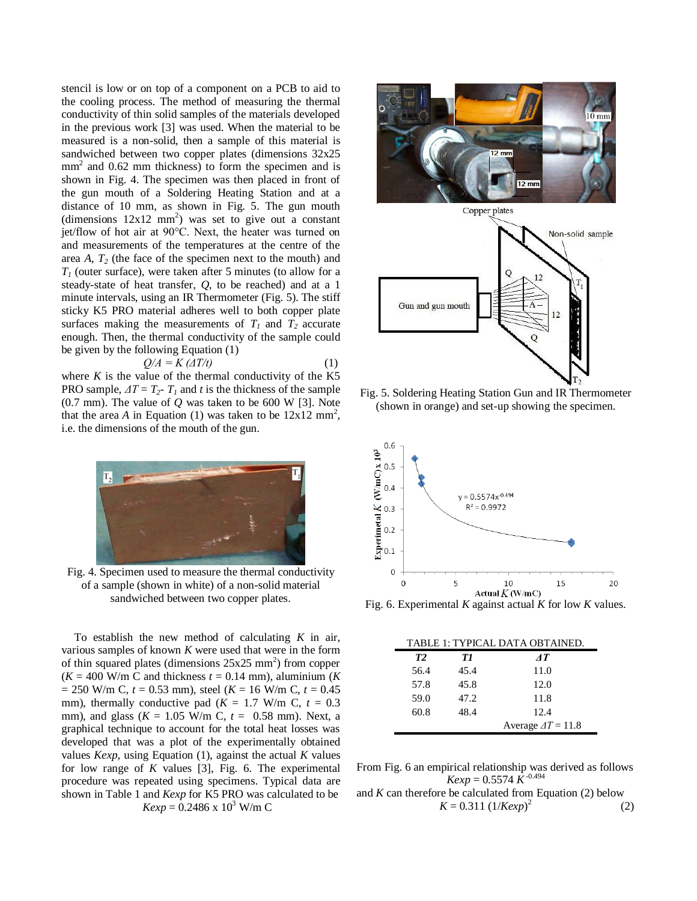stencil is low or on top of a component on a PCB to aid to the cooling process. The method of measuring the thermal conductivity of thin solid samples of the materials developed in the previous work [3] was used. When the material to be measured is a non-solid, then a sample of this material is sandwiched between two copper plates (dimensions 32x25 mm<sup>2</sup> and 0.62 mm thickness) to form the specimen and is shown in Fig. 4. The specimen was then placed in front of the gun mouth of a Soldering Heating Station and at a distance of 10 mm, as shown in Fig. 5. The gun mouth (dimensions  $12x12 \text{ mm}^2$ ) was set to give out a constant jet/flow of hot air at 90°C. Next, the heater was turned on and measurements of the temperatures at the centre of the area *A*, *T<sup>2</sup>* (the face of the specimen next to the mouth) and *T<sup>1</sup>* (outer surface), were taken after 5 minutes (to allow for a steady-state of heat transfer, *Q*, to be reached) and at a 1 minute intervals, using an IR Thermometer (Fig. 5). The stiff sticky K5 PRO material adheres well to both copper plate surfaces making the measurements of  $T_1$  and  $T_2$  accurate enough. Then, the thermal conductivity of the sample could be given by the following Equation (1)

$$
Q/A = K \left( \Delta T/t \right) \tag{1}
$$

where  $K$  is the value of the thermal conductivity of the  $K5$ PRO sample,  $\Delta T = T_2 - T_1$  and *t* is the thickness of the sample  $(0.7 \text{ mm})$ . The value of  $Q$  was taken to be 600 W [3]. Note that the area *A* in Equation (1) was taken to be  $12x12 \text{ mm}^2$ , i.e. the dimensions of the mouth of the gun.



Fig. 4. Specimen used to measure the thermal conductivity of a sample (shown in white) of a non-solid material sandwiched between two copper plates.

To establish the new method of calculating *K* in air, various samples of known *K* were used that were in the form of thin squared plates (dimensions  $25x25$  mm<sup>2</sup>) from copper  $(K = 400$  W/m C and thickness  $t = 0.14$  mm), aluminium  $(K$  $= 250$  W/m C,  $t = 0.53$  mm), steel ( $K = 16$  W/m C,  $t = 0.45$ mm), thermally conductive pad  $(K = 1.7 \text{ W/m C}, t = 0.3$ mm), and glass ( $K = 1.05$  W/m C,  $t = 0.58$  mm). Next, a graphical technique to account for the total heat losses was developed that was a plot of the experimentally obtained values *Kexp*, using Equation (1), against the actual *K* values for low range of *K* values [3], Fig. 6. The experimental procedure was repeated using specimens. Typical data are shown in Table 1 and *Kexp* for K5 PRO was calculated to be  $Kexp = 0.2486 \times 10^3$  W/m C



Fig. 5. Soldering Heating Station Gun and IR Thermometer (shown in orange) and set-up showing the specimen.



Fig. 6. Experimental *K* against actual *K* for low *K* values.

| TABLE 1: TYPICAL DATA OBTAINED. |      |                           |
|---------------------------------|------|---------------------------|
| <b>T2</b>                       | ТI   | AT                        |
| 56.4                            | 45.4 | 11.0                      |
| 57.8                            | 45.8 | 12.0                      |
| 59.0                            | 47.2 | 11.8                      |
| 60.8                            | 48.4 | 12.4                      |
|                                 |      | Average $\Delta T = 11.8$ |

From Fig. 6 an empirical relationship was derived as follows  $Kexp = 0.5574 \ \tilde{K}^{-0.494}$ 

and *K* can therefore be calculated from Equation (2) below  $K = 0.311 (1 / Kexp)^2$ (2)